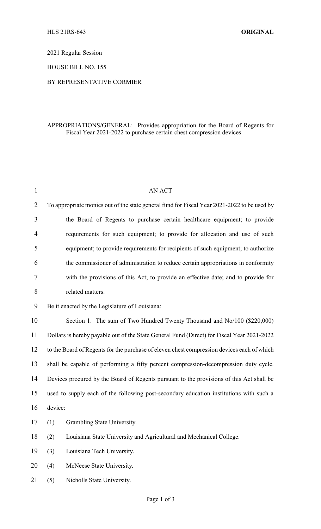2021 Regular Session

HOUSE BILL NO. 155

## BY REPRESENTATIVE CORMIER

## APPROPRIATIONS/GENERAL: Provides appropriation for the Board of Regents for Fiscal Year 2021-2022 to purchase certain chest compression devices

| $\mathbf{1}$   | <b>AN ACT</b>                                                                               |
|----------------|---------------------------------------------------------------------------------------------|
| $\overline{2}$ | To appropriate monies out of the state general fund for Fiscal Year 2021-2022 to be used by |
| 3              | the Board of Regents to purchase certain healthcare equipment; to provide                   |
| $\overline{4}$ | requirements for such equipment; to provide for allocation and use of such                  |
| 5              | equipment; to provide requirements for recipients of such equipment; to authorize           |
| 6              | the commissioner of administration to reduce certain appropriations in conformity           |
| 7              | with the provisions of this Act; to provide an effective date; and to provide for           |
| 8              | related matters.                                                                            |
| 9              | Be it enacted by the Legislature of Louisiana:                                              |
| 10             | Section 1. The sum of Two Hundred Twenty Thousand and No/100 (\$220,000)                    |
| 11             | Dollars is hereby payable out of the State General Fund (Direct) for Fiscal Year 2021-2022  |
| 12             | to the Board of Regents for the purchase of eleven chest compression devices each of which  |
| 13             | shall be capable of performing a fifty percent compression-decompression duty cycle.        |
| 14             | Devices procured by the Board of Regents pursuant to the provisions of this Act shall be    |
| 15             | used to supply each of the following post-secondary education institutions with such a      |
| 16             | device:                                                                                     |
| 17             | (1) Grambling State University.                                                             |
| 18             | (2)<br>Louisiana State University and Agricultural and Mechanical College.                  |
| 19             | (3)<br>Louisiana Tech University.                                                           |
| 20             | McNeese State University.<br>(4)                                                            |
| 21             | (5)<br>Nicholls State University.                                                           |
|                |                                                                                             |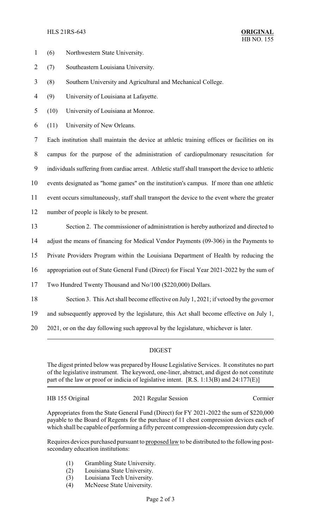## HLS 21RS-643 **ORIGINAL**

- 1 (6) Northwestern State University.
- 2 (7) Southeastern Louisiana University.
- 3 (8) Southern University and Agricultural and Mechanical College.
- 4 (9) University of Louisiana at Lafayette.
- 5 (10) University of Louisiana at Monroe.
- 6 (11) University of New Orleans.

 Each institution shall maintain the device at athletic training offices or facilities on its campus for the purpose of the administration of cardiopulmonary resuscitation for individuals suffering from cardiac arrest. Athletic staff shall transport the device to athletic events designated as "home games" on the institution's campus. If more than one athletic event occurs simultaneously, staff shall transport the device to the event where the greater number of people is likely to be present.

- 13 Section 2. The commissioner of administration is hereby authorized and directed to
- 14 adjust the means of financing for Medical Vendor Payments (09-306) in the Payments to
- 15 Private Providers Program within the Louisiana Department of Health by reducing the
- 16 appropriation out of State General Fund (Direct) for Fiscal Year 2021-2022 by the sum of
- 17 Two Hundred Twenty Thousand and No/100 (\$220,000) Dollars.
- 18 Section 3. This Act shall become effective on July 1, 2021; if vetoed by the governor
- 19 and subsequently approved by the legislature, this Act shall become effective on July 1,
- 20 2021, or on the day following such approval by the legislature, whichever is later.

## DIGEST

The digest printed below was prepared by House Legislative Services. It constitutes no part of the legislative instrument. The keyword, one-liner, abstract, and digest do not constitute part of the law or proof or indicia of legislative intent. [R.S. 1:13(B) and 24:177(E)]

HB 155 Original 2021 Regular Session Cormier

Appropriates from the State General Fund (Direct) for FY 2021-2022 the sum of \$220,000 payable to the Board of Regents for the purchase of 11 chest compression devices each of which shall be capable of performing a fifty percent compression-decompression duty cycle.

Requires devices purchased pursuant to proposed law to be distributed to the following postsecondary education institutions:

- (1) Grambling State University.
- (2) Louisiana State University.
- (3) Louisiana Tech University.
- (4) McNeese State University.